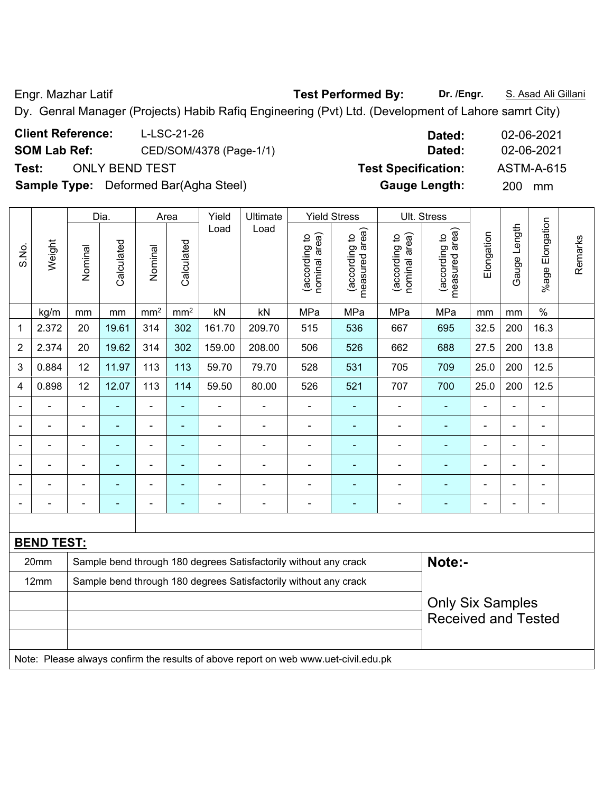Engr. Mazhar Latif **Test Performed By: Dr. /Engr.** S. Asad Ali Gillani

Dy. Genral Manager (Projects) Habib Rafiq Engineering (Pvt) Ltd. (Development of Lahore samrt City)

| <b>Client Reference:</b>       | L-LSC-21-26                                  | Dated:                     | 02-06-2021       |
|--------------------------------|----------------------------------------------|----------------------------|------------------|
| <b>SOM Lab Ref:</b>            | CED/SOM/4378 (Page-1/1)                      | Dated:                     | 02-06-2021       |
| Test:<br><b>ONLY BEND TEST</b> |                                              | <b>Test Specification:</b> | ASTM-A-615       |
|                                | <b>Sample Type:</b> Deformed Bar(Agha Steel) | <b>Gauge Length:</b>       | <b>200</b><br>mm |

|                          |                                                                          |                | Dia.           |                              | Area            | Yield                                                 | Ultimate                 |                                | <b>Yield Stress</b>             |                                | Ult. Stress                     |                |                |                 |         |
|--------------------------|--------------------------------------------------------------------------|----------------|----------------|------------------------------|-----------------|-------------------------------------------------------|--------------------------|--------------------------------|---------------------------------|--------------------------------|---------------------------------|----------------|----------------|-----------------|---------|
| S.No.                    | Weight                                                                   | Nominal        | Calculated     | Nominal                      | Calculated      | Load                                                  | Load                     | nominal area)<br>(according to | measured area)<br>(according to | nominal area)<br>(according to | measured area)<br>(according to | Elongation     | Gauge Length   | %age Elongation | Remarks |
|                          | kg/m                                                                     | mm             | mm             | mm <sup>2</sup>              | mm <sup>2</sup> | kN                                                    | kN                       | MPa                            | MPa                             | MPa                            | MPa                             | mm             | mm             | $\%$            |         |
| 1                        | 2.372                                                                    | 20             | 19.61          | 314                          | 302             | 161.70                                                | 209.70                   | 515                            | 536                             | 667                            | 695                             | 32.5           | 200            | 16.3            |         |
| $\overline{2}$           | 2.374                                                                    | 20             | 19.62          | 314                          | 302             | 159.00                                                | 208.00                   | 506                            | 526                             | 662                            | 688                             | 27.5           | 200            | 13.8            |         |
| 3                        | 0.884                                                                    | 12             | 11.97          | 113                          | 113             | 59.70                                                 | 79.70                    | 528                            | 531                             | 705                            | 709                             | 25.0           | 200            | 12.5            |         |
| $\overline{4}$           | 0.898                                                                    | 12             | 12.07          | 113                          | 114             | 59.50                                                 | 80.00                    | 526                            | 521                             | 707                            | 700                             | 25.0           | 200            | 12.5            |         |
|                          |                                                                          | $\blacksquare$ |                |                              | ۰               |                                                       |                          | $\blacksquare$                 | ۰                               | $\blacksquare$                 |                                 | $\blacksquare$ |                |                 |         |
| $\blacksquare$           |                                                                          | ÷              | $\blacksquare$ | $\blacksquare$               | $\blacksquare$  | $\blacksquare$                                        | $\overline{a}$           | $\overline{\phantom{a}}$       | ۰                               | $\blacksquare$                 | $\blacksquare$                  | ÷              | ÷              | $\blacksquare$  |         |
|                          | $\blacksquare$                                                           | ÷              | $\blacksquare$ | $\blacksquare$               | $\blacksquare$  | $\blacksquare$                                        | $\overline{\phantom{0}}$ | $\overline{\phantom{a}}$       | ä,                              | $\blacksquare$                 |                                 | $\blacksquare$ | $\blacksquare$ | $\blacksquare$  |         |
|                          |                                                                          | $\blacksquare$ | $\blacksquare$ | $\blacksquare$               | ۰               |                                                       | $\blacksquare$           | $\blacksquare$                 | ä,                              | $\blacksquare$                 | $\blacksquare$                  | $\blacksquare$ |                | $\blacksquare$  |         |
|                          |                                                                          |                |                |                              |                 |                                                       |                          | $\blacksquare$                 |                                 |                                |                                 |                |                |                 |         |
| $\overline{\phantom{0}}$ |                                                                          | ۰              | ۰              | $\qquad \qquad \blacksquare$ | $\blacksquare$  | $\overline{a}$                                        | $\overline{a}$           | $\overline{\phantom{a}}$       | ۰                               | $\overline{a}$                 | ۰                               | ÷              | $\blacksquare$ | $\blacksquare$  |         |
|                          |                                                                          |                |                |                              |                 |                                                       |                          |                                |                                 |                                |                                 |                |                |                 |         |
|                          | <b>BEND TEST:</b>                                                        |                |                |                              |                 |                                                       |                          |                                |                                 |                                |                                 |                |                |                 |         |
|                          | Sample bend through 180 degrees Satisfactorily without any crack<br>20mm |                |                |                              |                 |                                                       |                          | Note:-                         |                                 |                                |                                 |                |                |                 |         |
|                          | 12mm<br>Sample bend through 180 degrees Satisfactorily without any crack |                |                |                              |                 |                                                       |                          |                                |                                 |                                |                                 |                |                |                 |         |
|                          |                                                                          |                |                |                              |                 | <b>Only Six Samples</b><br><b>Received and Tested</b> |                          |                                |                                 |                                |                                 |                |                |                 |         |
|                          |                                                                          |                |                |                              |                 |                                                       |                          |                                |                                 |                                |                                 |                |                |                 |         |

Note: Please always confirm the results of above report on web www.uet-civil.edu.pk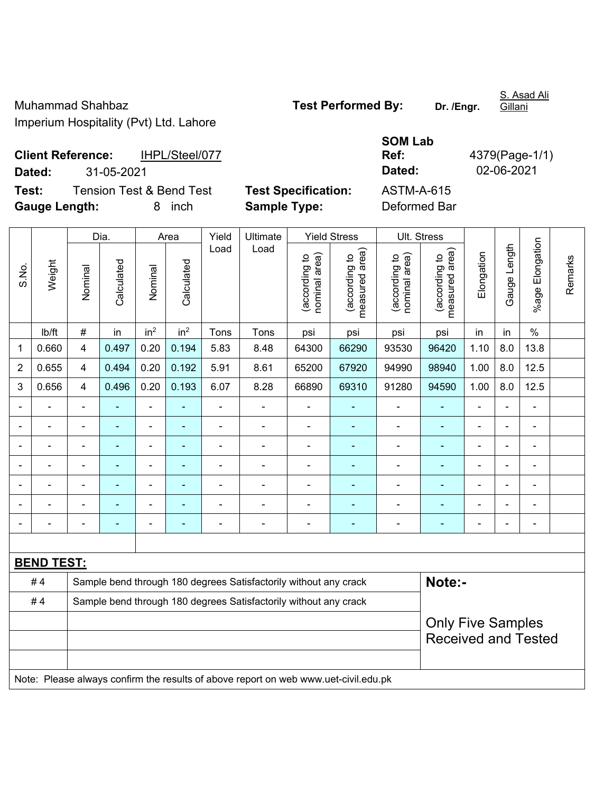Muhammad Shahbaz **Test Performed By:** Dr. /Engr. Imperium Hospitality (Pvt) Ltd. Lahore

S. Asad Ali Gillani

**Client Reference:** IHPL/Steel/077 **Dated:** 31-05-2021 **Dated:** 02-06-2021 **Test:** Tension Test & Bend Test **Test Specification:** A

| <b>SOM Lab</b> |                |
|----------------|----------------|
| Ref:           | 4379(Page-1/1) |
| <b>Dated:</b>  | 02-06-2021     |
| ASTM-A-615     |                |
| - - -          |                |

**Gauge Length:** 8 inch **Sample Type:** Deformed Bar

|                |                   |                                                                  | Dia.<br>Area   |                              | Yield           |                          |                                                                                     |                                | Ultimate                                    |                                | <b>Yield Stress</b>             | <b>Ult. Stress</b>       |                |                 |         |  |  |
|----------------|-------------------|------------------------------------------------------------------|----------------|------------------------------|-----------------|--------------------------|-------------------------------------------------------------------------------------|--------------------------------|---------------------------------------------|--------------------------------|---------------------------------|--------------------------|----------------|-----------------|---------|--|--|
| S.No.          | Weight            | Nominal                                                          | Calculated     | Nominal                      | Calculated      | Load                     | Load                                                                                | nominal area)<br>(according to | (according to<br>neasured area)<br>measured | (according to<br>nominal area) | (according to<br>measured area) | Elongation               | Gauge Length   | %age Elongation | Remarks |  |  |
|                | lb/ft             | $\#$                                                             | in             | in <sup>2</sup>              | in <sup>2</sup> | Tons                     | Tons                                                                                | psi                            | psi                                         | psi                            | psi                             | in                       | in             | $\%$            |         |  |  |
| $\mathbf{1}$   | 0.660             | $\overline{\mathbf{4}}$                                          | 0.497          | 0.20                         | 0.194           | 5.83                     | 8.48                                                                                | 64300                          | 66290                                       | 93530                          | 96420                           | 1.10                     | 8.0            | 13.8            |         |  |  |
| $\overline{2}$ | 0.655             | 4                                                                | 0.494          | 0.20                         | 0.192           | 5.91                     | 8.61                                                                                | 65200                          | 67920                                       | 94990                          | 98940                           | 1.00                     | 8.0            | 12.5            |         |  |  |
| $\mathbf{3}$   | 0.656             | $\overline{4}$                                                   | 0.496          | 0.20                         | 0.193           | 6.07                     | 8.28                                                                                | 66890                          | 69310                                       | 91280                          | 94590                           | 1.00                     | 8.0            | 12.5            |         |  |  |
|                |                   | $\blacksquare$                                                   | $\blacksquare$ | $\qquad \qquad \blacksquare$ | $\blacksquare$  | $\blacksquare$           | $\blacksquare$                                                                      | $\blacksquare$                 |                                             | $\qquad \qquad \blacksquare$   | $\blacksquare$                  | ä,                       | $\blacksquare$ | $\blacksquare$  |         |  |  |
|                | $\blacksquare$    | $\blacksquare$                                                   | ۰              | $\qquad \qquad \blacksquare$ | $\blacksquare$  | $\overline{\phantom{a}}$ | $\blacksquare$                                                                      | $\overline{\phantom{a}}$       | ÷                                           | $\blacksquare$                 | $\blacksquare$                  | $\overline{\phantom{a}}$ | $\blacksquare$ | $\blacksquare$  |         |  |  |
|                |                   | L.                                                               | $\blacksquare$ | ÷,                           | ä,              | ÷.                       | $\blacksquare$                                                                      | ä,                             | $\overline{a}$                              | ÷,                             | $\blacksquare$                  | L.                       |                | $\blacksquare$  |         |  |  |
|                |                   |                                                                  |                | $\overline{a}$               | $\overline{a}$  | $\blacksquare$           |                                                                                     | $\blacksquare$                 | $\overline{a}$                              | $\blacksquare$                 | ÷.                              | ä,                       |                | $\blacksquare$  |         |  |  |
|                |                   |                                                                  |                |                              |                 |                          |                                                                                     |                                |                                             | ÷                              |                                 |                          |                |                 |         |  |  |
|                |                   |                                                                  |                | $\blacksquare$               |                 |                          |                                                                                     | ä,                             |                                             | ÷                              | ÷,                              |                          |                | $\blacksquare$  |         |  |  |
|                |                   | $\blacksquare$                                                   | ۰              | $\blacksquare$               | $\overline{a}$  | ۰                        | $\blacksquare$                                                                      | $\overline{\phantom{a}}$       | ÷                                           | ÷                              | ۰                               | $\overline{\phantom{0}}$ |                | $\blacksquare$  |         |  |  |
|                |                   |                                                                  |                |                              |                 |                          |                                                                                     |                                |                                             |                                |                                 |                          |                |                 |         |  |  |
|                | <b>BEND TEST:</b> |                                                                  |                |                              |                 |                          |                                                                                     |                                |                                             |                                |                                 |                          |                |                 |         |  |  |
|                | #4                |                                                                  |                |                              |                 |                          | Sample bend through 180 degrees Satisfactorily without any crack                    |                                |                                             |                                | Note:-                          |                          |                |                 |         |  |  |
|                | #4                | Sample bend through 180 degrees Satisfactorily without any crack |                |                              |                 |                          |                                                                                     |                                |                                             |                                |                                 |                          |                |                 |         |  |  |
|                |                   |                                                                  |                |                              |                 |                          |                                                                                     | <b>Only Five Samples</b>       |                                             |                                |                                 |                          |                |                 |         |  |  |
|                |                   |                                                                  |                |                              |                 |                          |                                                                                     |                                | <b>Received and Tested</b>                  |                                |                                 |                          |                |                 |         |  |  |
|                |                   |                                                                  |                |                              |                 |                          |                                                                                     |                                |                                             |                                |                                 |                          |                |                 |         |  |  |
|                |                   |                                                                  |                |                              |                 |                          | Note: Please always confirm the results of above report on web www.uet-civil.edu.pk |                                |                                             |                                |                                 |                          |                |                 |         |  |  |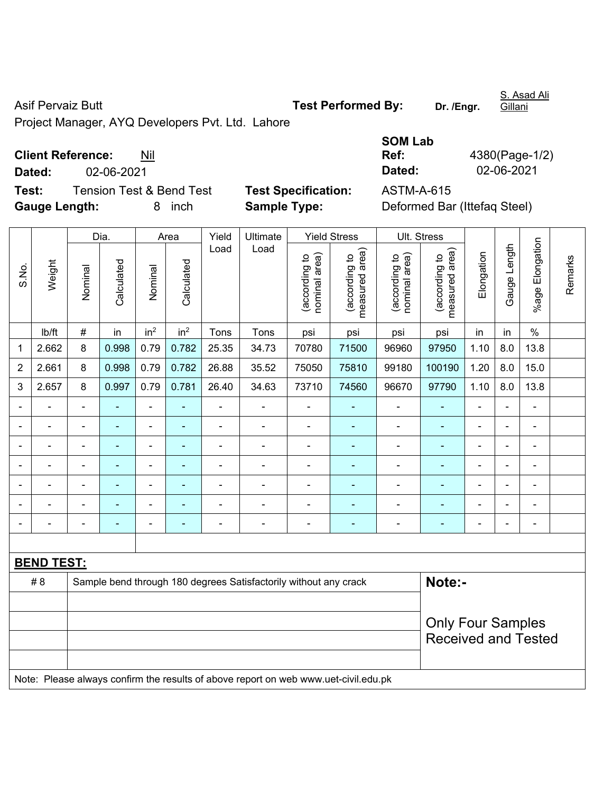Asif Pervaiz Butt **Test Performed By:** Dr. /Engr.

S. Asad Ali **Gillani** 

Project Manager, AYQ Developers Pvt. Ltd. Lahore

# **Client Reference:** Nil

**Test:** Tension Test & Bend Test **Test Specification:** ASTM-A-615 **Gauge Length:** 8 inch **Sample Type:** Deformed Bar (Ittefaq Steel)

Dia. | Area | Yield | Ultimate | Yield Stress | Ult. Stress

|                          |            | <b>SOM Lab</b> |                |  |  |
|--------------------------|------------|----------------|----------------|--|--|
| <b>Client Reference:</b> | Nil        | Ref:           | 4380(Page-1/2) |  |  |
| Dated:                   | 02-06-2021 | Dated:         | 02-06-2021     |  |  |

%age Elongation %age Elongation Gauge Length Load Load Gauge Length (according to<br>measured area) measured area) measured area) (according to<br>nominal area) (according to<br>nominal area) (according to<br>measured area) nominal area) nominal area) Elongation Elongation (according to (according to (according to (according to Remarks Remarks Weight **Calculated Calculated** Calculated Calculated S.No. Nominal Nominal Nominal Nominal | lb/ft | # | in | in<sup>2</sup> | in<sup>2</sup> | Tons | Tons | psi | psi | psi | psi | in | in | % 1 | 2.662 | 8 | 0.998 | 0.79 | 0.782 | 25.35 | 34.73 | 70780 | 71500 | 96960 | 97950 | 1.10 | 8.0 | 13.8 2 | 2.661 | 8 | 0.998 | 0.79 | 0.782 | 26.88 | 35.52 | 75050 | 75810 | 99180 | 100190 | 1.20 | 8.0 | 15.0 3 | 2.657 | 8 | 0.997 | 0.79 | 0.781 | 26.40 | 34.63 | 73710 | 74560 | 96670 | 97790 | 1.10 | 8.0 | 13.8 - - - - - - - - - - - - - - - - - - - - - - - - - - - - - - - - - - - - - - - - - - - - - - - - - - - - - - - - - - - - - - - - - - - - - - - - - - - - - - - - - - - - - - - - - - - - - - - - - - - - - - - - - **BEND TEST:**  # 8 Sample bend through 180 degrees Satisfactorily without any crack **Note:- Note:** Only Four Samples Received and Tested Note: Please always confirm the results of above report on web www.uet-civil.edu.pk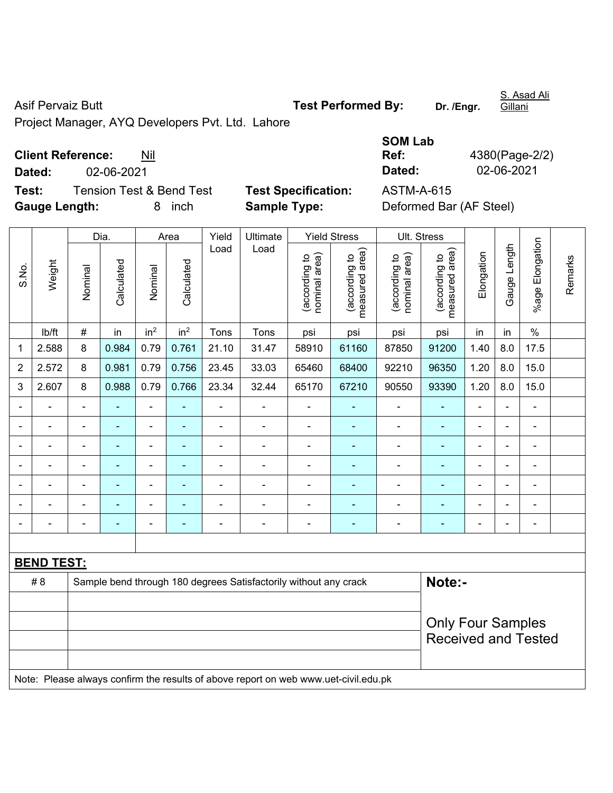Asif Pervaiz Butt **Test Performed By:** Dr. /Engr.

S. Asad Ali **Gillani** 

Project Manager, AYQ Developers Pvt. Ltd. Lahore

# **Client Reference:** Nil

**Test:** Tension Test & Bend Test **Test Specification:** ASTM-A-615 **Gauge Length:** 8 inch **Sample Type:** Deformed Bar (AF Steel)

|                          |            | <b>SOM Lab</b> |                |  |  |
|--------------------------|------------|----------------|----------------|--|--|
| <b>Client Reference:</b> | Nil        | Ref:           | 4380(Page-2/2) |  |  |
| Dated:                   | 02-06-2021 | Dated:         | 02-06-2021     |  |  |

Dia. | Area | Yield | Ultimate | Yield Stress | Ult. Stress %age Elongation %age Elongation Gauge Length Load Load Gauge Length (according to<br>measured area) measured area) measured area) (according to<br>nominal area) (according to<br>nominal area) (according to<br>measured area) nominal area) nominal area) Elongation Elongation (according to (according to (according to (according to Remarks Remarks Weight **Calculated Calculated** Calculated Calculated S.No. Nominal Nominal Nominal Nominal | lb/ft | # | in | in<sup>2</sup> | in<sup>2</sup> | Tons | Tons | psi | psi | psi | psi | in | in | % 1 | 2.588 | 8 | 0.984 | 0.79 | 0.761 | 21.10 | 31.47 | 58910 | 61160 | 87850 | 91200 | 1.40 | 8.0 | 17.5 2 | 2.572 | 8 | 0.981 | 0.79 | 0.756 | 23.45 | 33.03 | 65460 | 68400 | 92210 | 96350 | 1.20 | 8.0 | 15.0 3 | 2.607 | 8 | 0.988 | 0.79 | 0.766 | 23.34 | 32.44 | 65170 | 67210 | 90550 | 93390 | 1.20 | 8.0 | 15.0 - - - - - - - - - - - - - - - - - - - - - - - - - - - - - - - - - - - - - - - - - - - - - - - - - - - - - - - - - - - - - - - - - - - - - - - - - - - - - - - - - - - - - - - - - - - - - - - - - - - - - - - - - **BEND TEST:**  # 8 Sample bend through 180 degrees Satisfactorily without any crack **Note:- Note:** Only Four Samples Received and Tested Note: Please always confirm the results of above report on web www.uet-civil.edu.pk